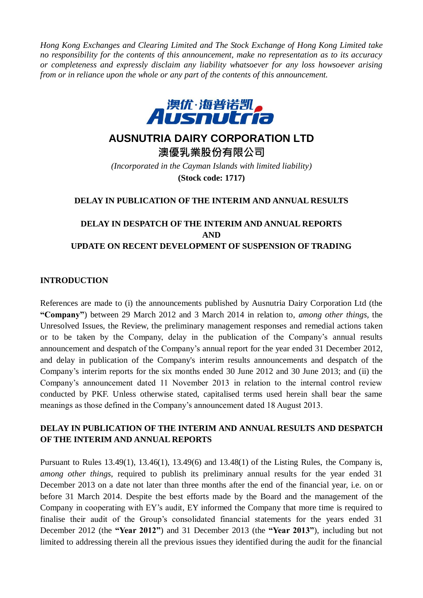*Hong Kong Exchanges and Clearing Limited and The Stock Exchange of Hong Kong Limited take no responsibility for the contents of this announcement, make no representation as to its accuracy or completeness and expressly disclaim any liability whatsoever for any loss howsoever arising from or in reliance upon the whole or any part of the contents of this announcement.*



# **AUSNUTRIA DAIRY CORPORATION LTD**

**澳優乳業股份有限公司** *(Incorporated in the Cayman Islands with limited liability)* **(Stock code: 1717)**

#### **DELAY IN PUBLICATION OF THE INTERIM AND ANNUAL RESULTS**

## **DELAY IN DESPATCH OF THE INTERIM AND ANNUAL REPORTS AND UPDATE ON RECENT DEVELOPMENT OF SUSPENSION OF TRADING**

#### **INTRODUCTION**

References are made to (i) the announcements published by Ausnutria Dairy Corporation Ltd (the **"Company"**) between 29 March 2012 and 3 March 2014 in relation to, *among other things,* the Unresolved Issues, the Review, the preliminary management responses and remedial actions taken or to be taken by the Company, delay in the publication of the Company's annual results announcement and despatch of the Company's annual report for the year ended 31 December 2012, and delay in publication of the Company's interim results announcements and despatch of the Company's interim reports for the six months ended 30 June 2012 and 30 June 2013; and (ii) the Company's announcement dated 11 November 2013 in relation to the internal control review conducted by PKF. Unless otherwise stated, capitalised terms used herein shall bear the same meanings as those defined in the Company's announcement dated 18 August 2013.

#### **DELAY IN PUBLICATION OF THE INTERIM AND ANNUAL RESULTS AND DESPATCH OF THE INTERIM AND ANNUAL REPORTS**

Pursuant to Rules 13.49(1), 13.46(1), 13.49(6) and 13.48(1) of the Listing Rules, the Company is, *among other things*, required to publish its preliminary annual results for the year ended 31 December 2013 on a date not later than three months after the end of the financial year, i.e. on or before 31 March 2014. Despite the best efforts made by the Board and the management of the Company in cooperating with EY's audit, EY informed the Company that more time is required to finalise their audit of the Group's consolidated financial statements for the years ended 31 December 2012 (the **"Year 2012"**) and 31 December 2013 (the **"Year 2013"**), including but not limited to addressing therein all the previous issues they identified during the audit for the financial